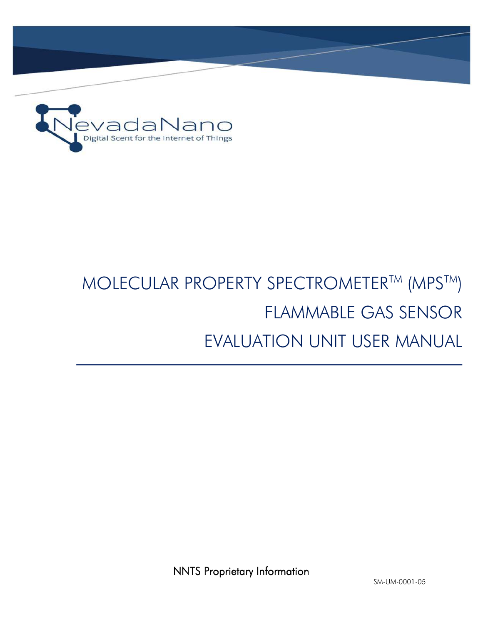

# MOLECULAR PROPERTY SPECTROMETER™ (MPS™) FLAMMABLE GAS SENSOR EVALUATION UNIT USER MANUAL

NNTS Proprietary Information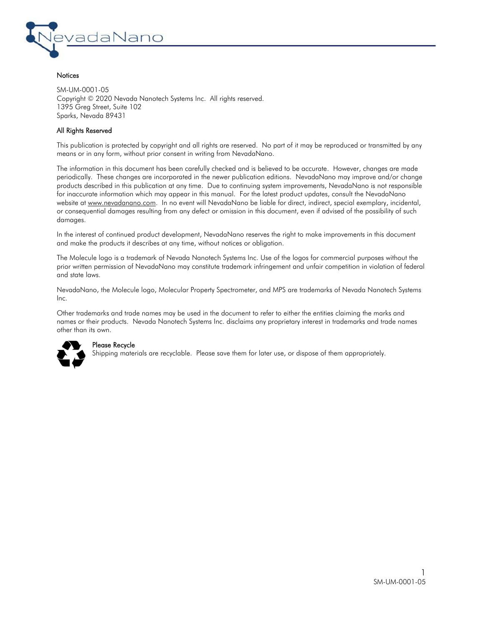

#### **Notices**

SM-UM-0001-05 Copyright © 2020 Nevada Nanotech Systems Inc. All rights reserved. 1395 Greg Street, Suite 102 Sparks, Nevada 89431

#### All Rights Reserved

This publication is protected by copyright and all rights are reserved. No part of it may be reproduced or transmitted by any means or in any form, without prior consent in writing from NevadaNano.

The information in this document has been carefully checked and is believed to be accurate. However, changes are made periodically. These changes are incorporated in the newer publication editions. NevadaNano may improve and/or change products described in this publication at any time. Due to continuing system improvements, NevadaNano is not responsible for inaccurate information which may appear in this manual. For the latest product updates, consult the NevadaNano website at www.nevadanano.com. In no event will NevadaNano be liable for direct, indirect, special exemplary, incidental, or consequential damages resulting from any defect or omission in this document, even if advised of the possibility of such damages.

In the interest of continued product development, NevadaNano reserves the right to make improvements in this document and make the products it describes at any time, without notices or obligation.

The Molecule logo is a trademark of Nevada Nanotech Systems Inc. Use of the logos for commercial purposes without the prior written permission of NevadaNano may constitute trademark infringement and unfair competition in violation of federal and state laws.

NevadaNano, the Molecule logo, Molecular Property Spectrometer, and MPS are trademarks of Nevada Nanotech Systems Inc.

Other trademarks and trade names may be used in the document to refer to either the entities claiming the marks and names or their products. Nevada Nanotech Systems Inc. disclaims any proprietary interest in trademarks and trade names other than its own.



#### Please Recycle

Shipping materials are recyclable. Please save them for later use, or dispose of them appropriately.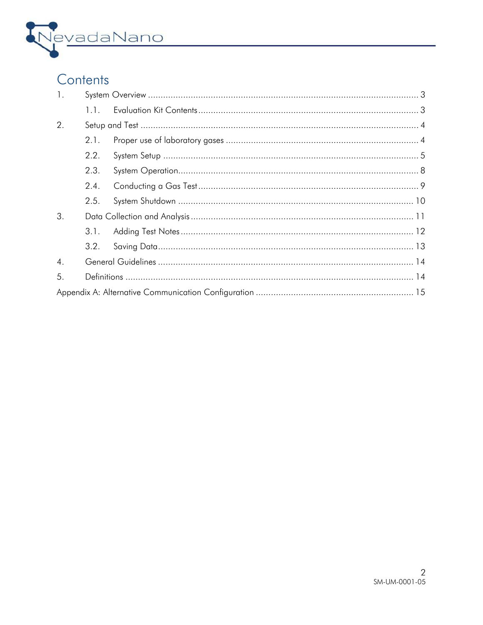

## Contents

| $\mathbf{1}$ .   |      |  |  |  |
|------------------|------|--|--|--|
|                  | 1.1. |  |  |  |
| 2.               |      |  |  |  |
|                  | 2.1. |  |  |  |
|                  | 2.2. |  |  |  |
|                  | 2.3. |  |  |  |
|                  | 2.4. |  |  |  |
|                  | 2.5. |  |  |  |
| 3.               |      |  |  |  |
|                  | 3.1. |  |  |  |
|                  | 3.2. |  |  |  |
| $\overline{4}$ . |      |  |  |  |
| 5.               |      |  |  |  |
|                  |      |  |  |  |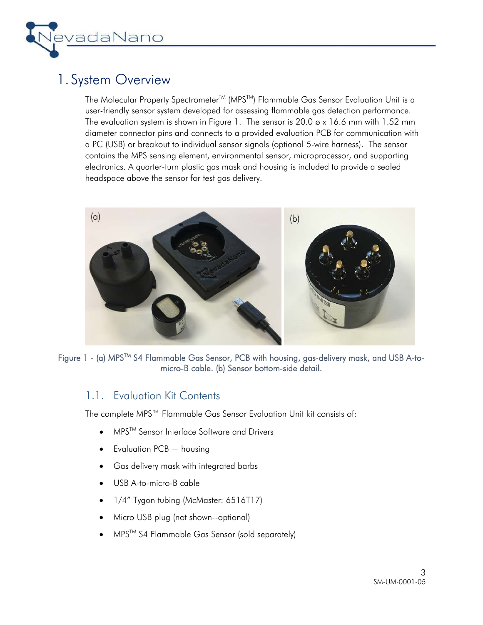

### 1. System Overview

The Molecular Property Spectrometer™ (MPS™) Flammable Gas Sensor Evaluation Unit is a user-friendly sensor system developed for assessing flammable gas detection performance. The evaluation system is shown in Figure 1. The sensor is  $20.0 \times 16.6$  mm with 1.52 mm diameter connector pins and connects to a provided evaluation PCB for communication with a PC (USB) or breakout to individual sensor signals (optional 5-wire harness). The sensor contains the MPS sensing element, environmental sensor, microprocessor, and supporting electronics. A quarter-turn plastic gas mask and housing is included to provide a sealed headspace above the sensor for test gas delivery.



Figure 1 - (a) MPS™ S4 Flammable Gas Sensor, PCB with housing, gas-delivery mask, and USB A-tomicro-B cable. (b) Sensor bottom-side detail.

### 1.1. Evaluation Kit Contents

The complete MPS™ Flammable Gas Sensor Evaluation Unit kit consists of:

- MPS<sup>™</sup> Sensor Interface Software and Drivers
- $\bullet$  Evaluation PCB + housing
- Gas delivery mask with integrated barbs
- USB A-to-micro-B cable
- 1/4" Tygon tubing (McMaster: 6516T17)
- Micro USB plug (not shown--optional)
- MPSTM S4 Flammable Gas Sensor (sold separately)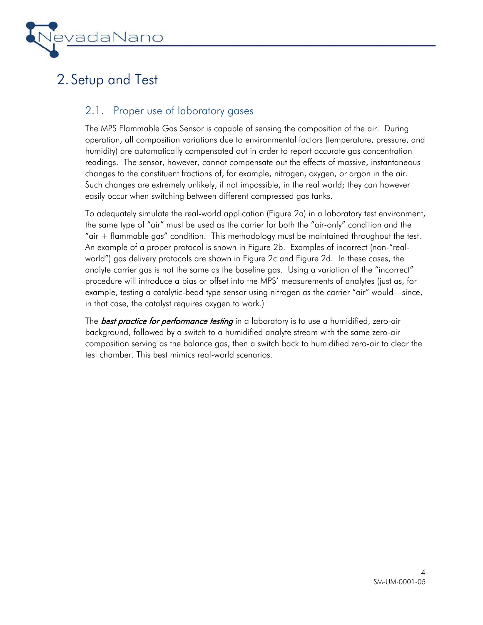

## 2. Setup and Test

### 2.1. Proper use of laboratory gases

The MPS Flammable Gas Sensor is capable of sensing the composition of the air. During operation, all composition variations due to environmental factors (temperature, pressure, and humidity) are automatically compensated out in order to report accurate gas concentration readings. The sensor, however, cannot compensate out the effects of massive, instantaneous changes to the constituent fractions of, for example, nitrogen, oxygen, or argon in the air. Such changes are extremely unlikely, if not impossible, in the real world; they can however easily occur when switching between different compressed gas tanks.

To adequately simulate the real-world application (Figure 2a) in a laboratory test environment, the same type of "air" must be used as the carrier for both the "air-only" condition and the "air + flammable gas" condition. This methodology must be maintained throughout the test. An example of a proper protocol is shown in Figure 2b. Examples of incorrect (non-"realworld") gas delivery protocols are shown in Figure 2c and Figure 2d. In these cases, the analyte carrier gas is not the same as the baseline gas. Using a variation of the "incorrect" procedure will introduce a bias or offset into the MPS' measurements of analytes (just as, for example, testing a catalytic-bead type sensor using nitrogen as the carrier "air" would—since, in that case, the catalyst requires oxygen to work.)

The **best practice for performance testing** in a laboratory is to use a humidified, zero-air background, followed by a switch to a humidified analyte stream with the same zero-air composition serving as the balance gas, then a switch back to humidified zero-air to clear the test chamber. This best mimics real-world scenarios.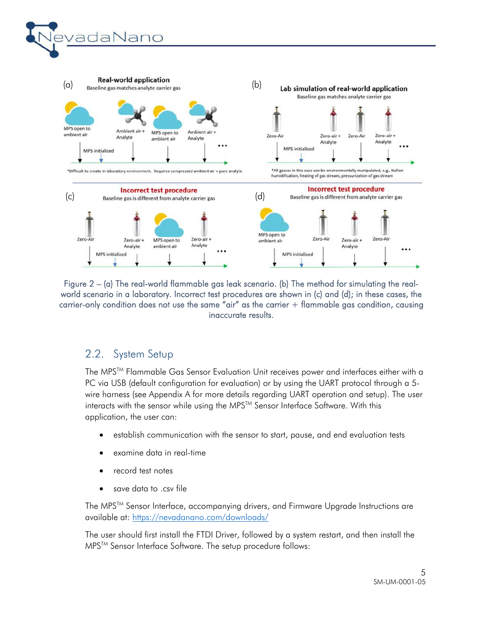



Figure 2 – (a) The real-world flammable gas leak scenario. (b) The method for simulating the realworld scenario in a laboratory. Incorrect test procedures are shown in (c) and (d); in these cases, the carrier-only condition does not use the same "air" as the carrier + flammable gas condition, causing inaccurate results.

### 2.2. System Setup

The MPSTM Flammable Gas Sensor Evaluation Unit receives power and interfaces either with a PC via USB (default configuration for evaluation) or by using the UART protocol through a 5 wire harness (see Appendix A for more details regarding UART operation and setup). The user interacts with the sensor while using the MPS<sup>TM</sup> Sensor Interface Software. With this application, the user can:

- establish communication with the sensor to start, pause, and end evaluation tests
- examine data in real-time
- record test notes
- save data to .csv file

The MPSTM Sensor Interface, accompanying drivers, and Firmware Upgrade Instructions are available at: https://nevadanano.com/downloads/

The user should first install the FTDI Driver, followed by a system restart, and then install the MPS<sup>™</sup> Sensor Interface Software. The setup procedure follows: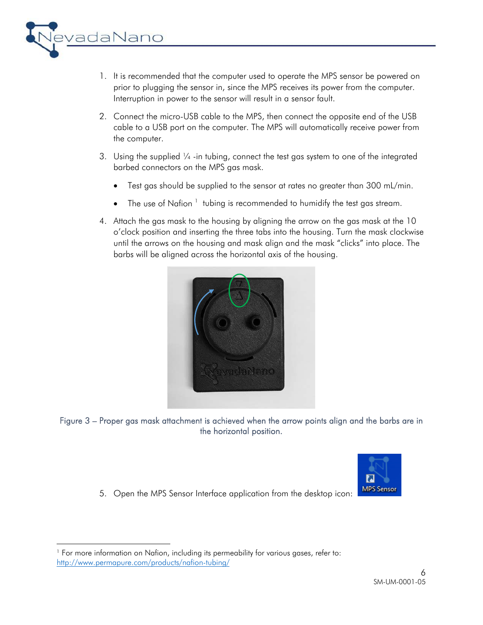

- 1. It is recommended that the computer used to operate the MPS sensor be powered on prior to plugging the sensor in, since the MPS receives its power from the computer. Interruption in power to the sensor will result in a sensor fault.
- 2. Connect the micro-USB cable to the MPS, then connect the opposite end of the USB cable to a USB port on the computer. The MPS will automatically receive power from the computer.
- 3. Using the supplied  $\frac{1}{4}$ -in tubing, connect the test gas system to one of the integrated barbed connectors on the MPS gas mask.
	- Test gas should be supplied to the sensor at rates no greater than 300 mL/min.
	- The use of Nafion  $1$  tubing is recommended to humidify the test gas stream.
- 4. Attach the gas mask to the housing by aligning the arrow on the gas mask at the 10 o'clock position and inserting the three tabs into the housing. Turn the mask clockwise until the arrows on the housing and mask align and the mask "clicks" into place. The barbs will be aligned across the horizontal axis of the housing.



Figure 3 – Proper gas mask attachment is achieved when the arrow points align and the barbs are in the horizontal position.



5. Open the MPS Sensor Interface application from the desktop icon:

 <sup>1</sup> For more information on Nafion, including its permeability for various gases, refer to: http://www.permapure.com/products/nafion-tubing/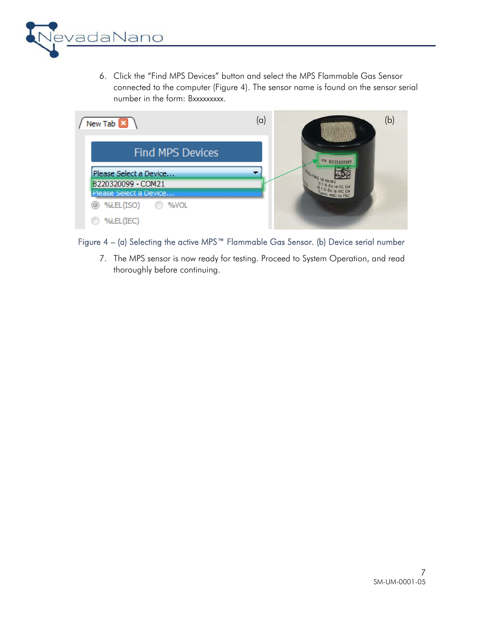

6. Click the "Find MPS Devices" button and select the MPS Flammable Gas Sensor connected to the computer (Figure 4). The sensor name is found on the sensor serial number in the form: Bxxxxxxxxx.



Figure 4 – (a) Selecting the active MPS™ Flammable Gas Sensor. (b) Device serial number

7. The MPS sensor is now ready for testing. Proceed to System Operation, and read thoroughly before continuing.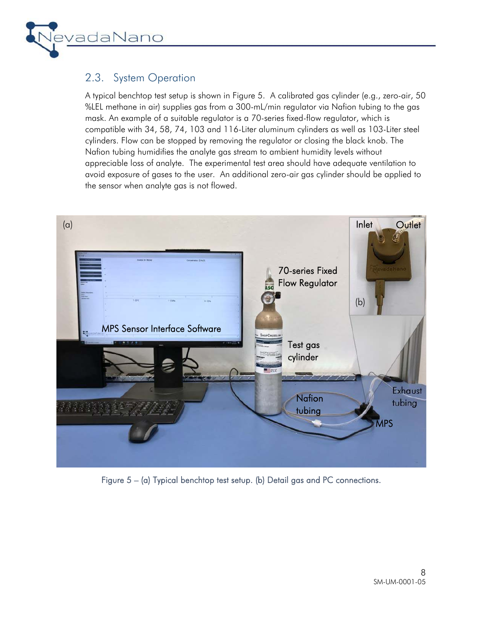

### 2.3. System Operation

A typical benchtop test setup is shown in Figure 5. A calibrated gas cylinder (e.g., zero-air, 50 %LEL methane in air) supplies gas from a 300-mL/min regulator via Nafion tubing to the gas mask. An example of a suitable regulator is a 70-series fixed-flow regulator, which is compatible with 34, 58, 74, 103 and 116-Liter aluminum cylinders as well as 103-Liter steel cylinders. Flow can be stopped by removing the regulator or closing the black knob. The Nafion tubing humidifies the analyte gas stream to ambient humidity levels without appreciable loss of analyte. The experimental test area should have adequate ventilation to avoid exposure of gases to the user. An additional zero-air gas cylinder should be applied to the sensor when analyte gas is not flowed.



Figure 5 – (a) Typical benchtop test setup. (b) Detail gas and PC connections.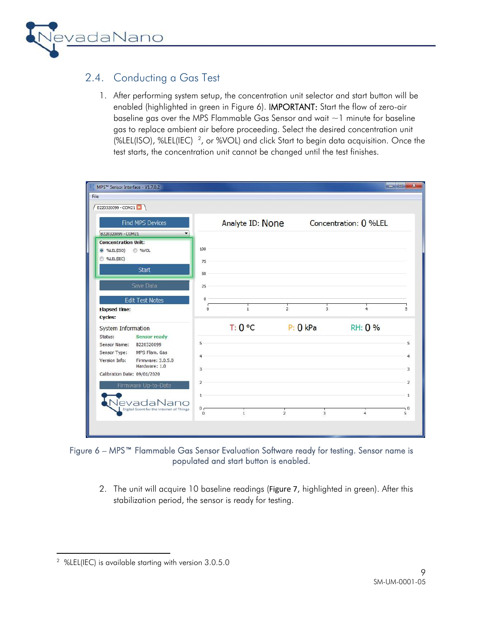

### 2.4. Conducting a Gas Test

1. After performing system setup, the concentration unit selector and start button will be enabled (highlighted in green in Figure 6). IMPORTANT: Start the flow of zero-air baseline gas over the MPS Flammable Gas Sensor and wait  $\sim$  1 minute for baseline gas to replace ambient air before proceeding. Select the desired concentration unit (%LEL(ISO), %LEL(IEC)  $^2$ , or %VOL) and click Start to begin data acquisition. Once the test starts, the concentration unit cannot be changed until the test finishes.

| B220320099 - COM21                                                                                                                                                                |                                                              |                  |               |               |                       |                                            |
|-----------------------------------------------------------------------------------------------------------------------------------------------------------------------------------|--------------------------------------------------------------|------------------|---------------|---------------|-----------------------|--------------------------------------------|
| <b>Find MPS Devices</b><br>8220320099 - COM21<br>$\overline{\phantom{a}}$                                                                                                         |                                                              | Analyte ID: None |               |               | Concentration: 0 %LEL |                                            |
| <b>Concentration Unit:</b><br>SWEL(ISO) %VOL<br>%LEL(IEC)<br><b>Start</b>                                                                                                         | 100<br>75<br>50                                              |                  |               |               |                       |                                            |
| Save Data<br><b>Edit Test Notes</b><br><b>Elapsed Time:</b><br>Cycles:                                                                                                            | 25<br>0<br>$\overline{0}$                                    | $\overline{1}$   | $\frac{1}{2}$ | 3             | $\overline{4}$        | 5                                          |
| <b>System Information</b><br><b>Sensor ready</b><br>Status:<br>B220320099<br>Sensor Name:<br>MPS Flam. Gas<br>Sensor Type:<br>Version Info:<br>Firmware: 3.0.5.0<br>Hardware: 1.0 | 5<br>A<br>$\mathbf{R}$                                       | T: 0 °C          |               | P: 0 kPa      | RH: 0 %               | 5<br>3                                     |
| Calibration Date: 09/01/2020<br>Firmware Up-to-Date<br>NevadaNano<br>Digital Scent for the Internet of Things                                                                     | $\overline{2}$<br>$\mathbf{1}$<br>0 <sub>0</sub><br>$\Omega$ | $\mathbf{1}$     | $\frac{1}{2}$ | $\frac{1}{3}$ | $\overline{4}$        | $\overline{2}$<br>$\mathbf{1}$<br>٦0<br>5. |

#### Figure 6 – MPS™ Flammable Gas Sensor Evaluation Software ready for testing. Sensor name is populated and start button is enabled.

2. The unit will acquire 10 baseline readings (Figure 7, highlighted in green). After this stabilization period, the sensor is ready for testing.

 2 %LEL(IEC) is available starting with version 3.0.5.0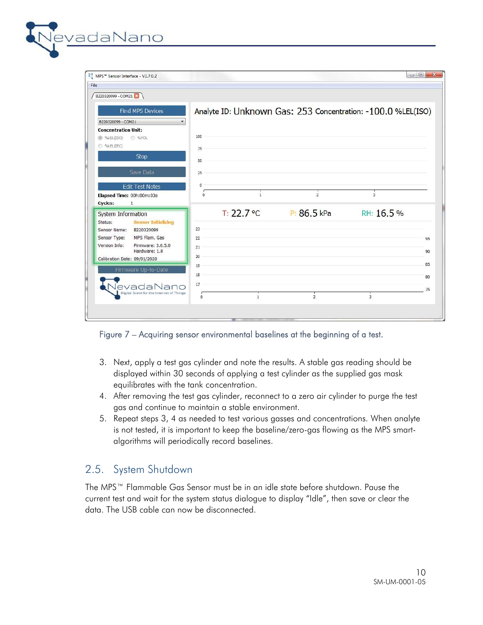| MPS <sup>™</sup> Sensor Interface - V1.7.0.2<br>File |          |              |                                                              |                |    |
|------------------------------------------------------|----------|--------------|--------------------------------------------------------------|----------------|----|
| B220320099 - COM21                                   |          |              |                                                              |                |    |
| <b>Find MPS Devices</b>                              |          |              | Analyte ID: Unknown Gas: 253 Concentration: -100.0 %LEL(ISO) |                |    |
| B220320099 - COM21<br>$\blacktriangledown$           |          |              |                                                              |                |    |
| <b>Concentration Unit:</b>                           |          |              |                                                              |                |    |
| @ %LEL(ISO)<br>%VOL                                  | 100      |              |                                                              |                |    |
| S %LEL(IEC)                                          | 75       |              |                                                              |                |    |
| Stop                                                 | 50       |              |                                                              |                |    |
|                                                      |          |              |                                                              |                |    |
| Save Data                                            | 25       |              |                                                              |                |    |
| <b>Edit Test Notes</b>                               | 0        |              |                                                              |                |    |
| Elapsed Time: 00h:00m:03s                            | $\Omega$ | $\mathbf{1}$ | $\overline{2}$                                               | 3              |    |
| Cycles:<br>$\mathbf{1}$                              |          |              |                                                              |                |    |
| System Information                                   |          | T: 22.7 °C   | P: 86.5 kPa                                                  | RH: 16.5%      |    |
| <b>Sensor Initializing</b><br>Status:                |          |              |                                                              |                |    |
| B220320099<br>Sensor Name:                           | 23       |              |                                                              |                |    |
| MPS Flam. Gas<br>Sensor Type:                        | 22       |              |                                                              |                | 95 |
| Version Info:<br>Firmware: 3.0.5.0<br>Hardware: 1.0  | 21       |              |                                                              |                | 90 |
| Calibration Date: 09/01/2020                         | 20       |              |                                                              |                |    |
| Firmware Up-to-Date                                  | 19       |              |                                                              |                | 85 |
|                                                      | 18       |              |                                                              |                | 80 |
| JevadaNano                                           | 17       |              |                                                              |                |    |
| Digital Scent for the Internet of Things             | $\circ$  | $\mathbf{1}$ | $\overline{2}$                                               | $\overline{3}$ | 75 |
|                                                      |          |              |                                                              |                |    |

Figure 7 – Acquiring sensor environmental baselines at the beginning of a test.

- 3. Next, apply a test gas cylinder and note the results. A stable gas reading should be displayed within 30 seconds of applying a test cylinder as the supplied gas mask equilibrates with the tank concentration.
- 4. After removing the test gas cylinder, reconnect to a zero air cylinder to purge the test gas and continue to maintain a stable environment.
- 5. Repeat steps 3, 4 as needed to test various gasses and concentrations. When analyte is not tested, it is important to keep the baseline/zero-gas flowing as the MPS smartalgorithms will periodically record baselines.

### 2.5. System Shutdown

vadaNano

The MPS™ Flammable Gas Sensor must be in an idle state before shutdown. Pause the current test and wait for the system status dialogue to display "Idle", then save or clear the data. The USB cable can now be disconnected.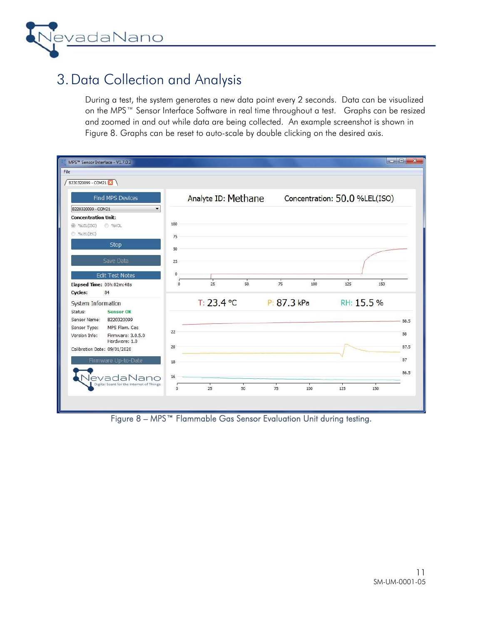

## 3.Data Collection and Analysis

During a test, the system generates a new data point every 2 seconds. Data can be visualized on the MPS™ Sensor Interface Software in real time throughout a test. Graphs can be resized and zoomed in and out while data are being collected. An example screenshot is shown in Figure 8. Graphs can be reset to auto-scale by double clicking on the desired axis.

| MPS™ Sensor Interface - V1.7.0.2                 |          |                     |    |             |     |                               |     | ول م |
|--------------------------------------------------|----------|---------------------|----|-------------|-----|-------------------------------|-----|------|
| B220320099 - COM21 3                             |          |                     |    |             |     |                               |     |      |
| <b>Find MPS Devices</b>                          |          | Analyte ID: Methane |    |             |     | Concentration: 50.0 %LEL(ISO) |     |      |
| B220320099 - COM21<br>$\overline{\phantom{a}}$   |          |                     |    |             |     |                               |     |      |
| <b>Concentration Unit:</b>                       |          |                     |    |             |     |                               |     |      |
|                                                  | 100      |                     |    |             |     |                               |     |      |
| %LEL(IEC)                                        | 75       |                     |    |             |     |                               |     |      |
| Stop                                             | 50       |                     |    |             |     |                               |     |      |
|                                                  |          |                     |    |             |     |                               |     |      |
| Save Data                                        | 25       |                     |    |             |     |                               |     |      |
| <b>Edit Test Notes</b>                           | 0        |                     |    |             |     |                               |     |      |
| Elapsed Time: 00h:02m:48s                        | $\Omega$ | 25                  | 50 | 75          | 100 | 125                           | 150 |      |
| <b>Cycles:</b><br>84                             |          |                     |    |             |     |                               |     |      |
| System Information                               |          | $T: 23.4$ °C        |    | P: 87.3 kPa |     | RH: 15.5 %                    |     |      |
| <b>Sensor OK</b><br>Status:                      |          |                     |    |             |     |                               |     |      |
| B220320099<br>Sensor Name:                       |          |                     |    |             |     |                               |     | 88.5 |
| MPS Flam, Gas<br>Sensor Type:                    |          |                     |    |             |     |                               |     |      |
| Version Info:<br>Firmware: 3.0.5.0               | 22       |                     |    |             |     |                               |     | 88   |
| Hardware: 1.0                                    | 20       |                     |    |             |     |                               |     | 87.5 |
| Calibration Date: 09/01/2020                     |          |                     |    |             |     |                               |     |      |
| Firmware Up-to-Date                              | 18       |                     |    |             |     |                               |     | 87   |
|                                                  |          |                     |    |             |     |                               |     | 86.5 |
| adal<br>Digital Scent for the Internet of Things | 16       |                     |    |             |     |                               |     |      |
|                                                  | $\Omega$ | 25                  | 50 | 75          | 100 | 125                           | 150 |      |

Figure 8 – MPS™ Flammable Gas Sensor Evaluation Unit during testing.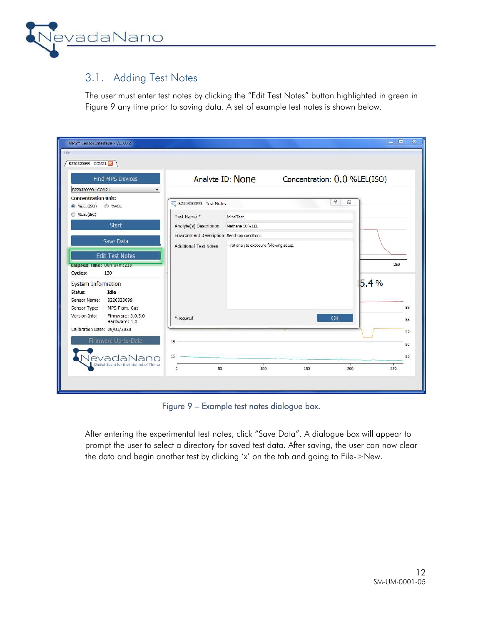

### 3.1. Adding Test Notes

The user must enter test notes by clicking the "Edit Test Notes" button highlighted in green in Figure 9 any time prior to saving data. A set of example test notes is shown below.

| MPS™ Sensor Interface - V1.7.0.2                                      |                                             |                                         |     |                              | $-1$ | $\Sigma$ |
|-----------------------------------------------------------------------|---------------------------------------------|-----------------------------------------|-----|------------------------------|------|----------|
| File<br>B220320099 - COM21                                            |                                             |                                         |     |                              |      |          |
| <b>Find MPS Devices</b><br>B220320099 - COM21                         |                                             | Analyte ID: None                        |     | Concentration: 0.0 %LEL(ISO) |      |          |
| <b>Concentration Unit:</b><br><sup>O</sup> %LEL(ISO)<br><b>O</b> %VOL | B220320099 - Test Notes                     |                                         |     | ð<br>$\Sigma\!3$             |      |          |
| %LEL(IEC)                                                             | Test Name *                                 | <b>InitialTest</b>                      |     |                              |      |          |
| <b>Start</b>                                                          | Analyte(s) Description                      | Methane 50% LEL                         |     |                              |      |          |
| Save Data                                                             | Environment Description Benchtop conditions |                                         |     |                              |      |          |
| <b>Edit Test Notes</b>                                                | <b>Additional Test Notes</b>                | First analyte exposure following setup. |     |                              |      |          |
| Elapsed Time: 00h:04m:21s                                             |                                             |                                         |     |                              | 250  |          |
| <b>Cycles:</b><br>130                                                 |                                             |                                         |     |                              |      |          |
| <b>System Information</b>                                             |                                             |                                         |     |                              | 5.4% |          |
| Idle<br>Status:<br>B220320099<br>Sensor Name:                         |                                             |                                         |     |                              |      |          |
| MPS Flam. Gas<br>Sensor Type:                                         |                                             |                                         |     |                              |      | 89       |
| Version Info:<br>Firmware: 3.0.5.0<br>Hardware: 1.0                   | * Required                                  |                                         |     | OK                           |      | 88       |
| Calibration Date: 09/01/2020                                          |                                             |                                         |     |                              |      | 87       |
| Firmware Up-to-Date                                                   | 18                                          |                                         |     |                              |      | 86       |
| evadaNano                                                             | 16                                          |                                         |     |                              |      | 85       |
| Digital Scent for the Internet of Things                              | 50<br>$\Omega$                              | 100                                     | 150 | 200                          | 250  |          |
|                                                                       |                                             |                                         |     |                              |      |          |
|                                                                       |                                             |                                         |     |                              |      |          |

Figure 9 – Example test notes dialogue box.

After entering the experimental test notes, click "Save Data". A dialogue box will appear to prompt the user to select a directory for saved test data. After saving, the user can now clear the data and begin another test by clicking 'x' on the tab and going to File->New.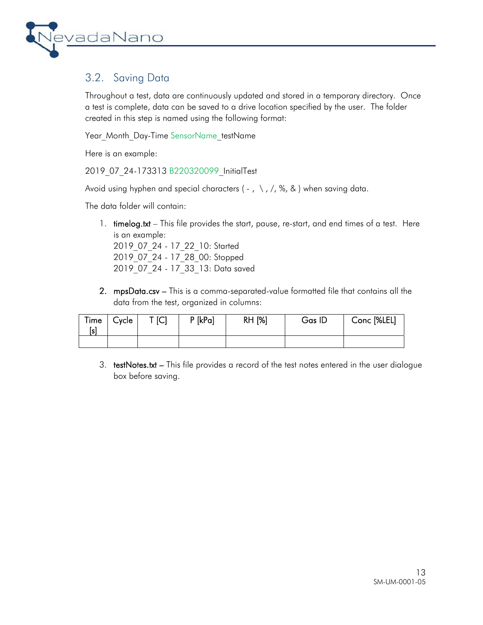

### 3.2. Saving Data

Throughout a test, data are continuously updated and stored in a temporary directory. Once a test is complete, data can be saved to a drive location specified by the user. The folder created in this step is named using the following format:

Year Month Day-Time SensorName\_testName

Here is an example:

2019 07 24-173313 B220320099 InitialTest

Avoid using hyphen and special characters ( $-$ ,  $\setminus$ ,  $/$ ,  $\%$ , & ) when saving data.

The data folder will contain:

- 1. **timelog.txt** This file provides the start, pause, re-start, and end times of a test. Here is an example: 2019\_07\_24 - 17\_22\_10: Started 2019\_07\_24 - 17\_28\_00: Stopped 2019\_07\_24 - 17\_33\_13: Data saved
- 2. mpsData.csv This is a comma-separated-value formatted file that contains all the data from the test, organized in columns:

| Time<br>ls | Cycle | T [C] | $P$ [kPa] | <b>RH [%]</b> | Gas ID | Conc [%LEL] |
|------------|-------|-------|-----------|---------------|--------|-------------|
|            |       |       |           |               |        |             |

3. testNotes.txt – This file provides a record of the test notes entered in the user dialogue box before saving.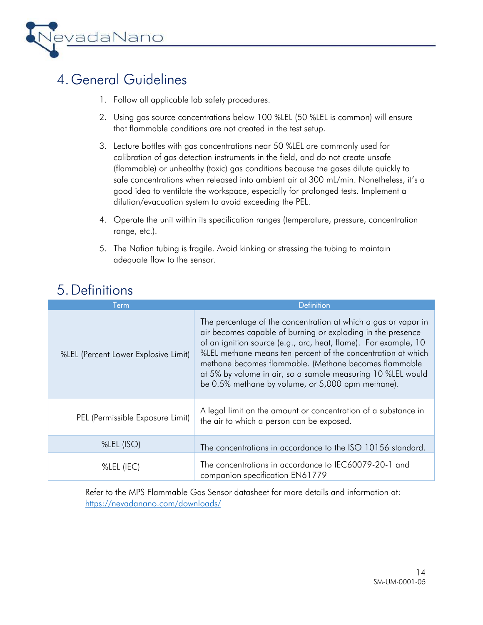

## 4. General Guidelines

- 1. Follow all applicable lab safety procedures.
- 2. Using gas source concentrations below 100 %LEL (50 %LEL is common) will ensure that flammable conditions are not created in the test setup.
- 3. Lecture bottles with gas concentrations near 50 %LEL are commonly used for calibration of gas detection instruments in the field, and do not create unsafe (flammable) or unhealthy (toxic) gas conditions because the gases dilute quickly to safe concentrations when released into ambient air at 300 mL/min. Nonetheless, it's a good idea to ventilate the workspace, especially for prolonged tests. Implement a dilution/evacuation system to avoid exceeding the PEL.
- 4. Operate the unit within its specification ranges (temperature, pressure, concentration range, etc.).
- 5. The Nafion tubing is fragile. Avoid kinking or stressing the tubing to maintain adequate flow to the sensor.

## 5.Definitions

| Term                                 | <b>Definition</b>                                                                                                                                                                                                                                                                                                                                                                                                                             |
|--------------------------------------|-----------------------------------------------------------------------------------------------------------------------------------------------------------------------------------------------------------------------------------------------------------------------------------------------------------------------------------------------------------------------------------------------------------------------------------------------|
| %LEL (Percent Lower Explosive Limit) | The percentage of the concentration at which a gas or vapor in<br>air becomes capable of burning or exploding in the presence<br>of an ignition source (e.g., arc, heat, flame). For example, 10<br>%LEL methane means ten percent of the concentration at which<br>methane becomes flammable. (Methane becomes flammable<br>at 5% by volume in air, so a sample measuring 10 %LEL would<br>be 0.5% methane by volume, or 5,000 ppm methane). |
| PEL (Permissible Exposure Limit)     | A legal limit on the amount or concentration of a substance in<br>the air to which a person can be exposed.                                                                                                                                                                                                                                                                                                                                   |
| %LEL (ISO)                           | The concentrations in accordance to the ISO 10156 standard.                                                                                                                                                                                                                                                                                                                                                                                   |
| %LEL (IEC)                           | The concentrations in accordance to IEC60079-20-1 and<br>companion specification EN61779                                                                                                                                                                                                                                                                                                                                                      |

Refer to the MPS Flammable Gas Sensor datasheet for more details and information at: https://nevadanano.com/downloads/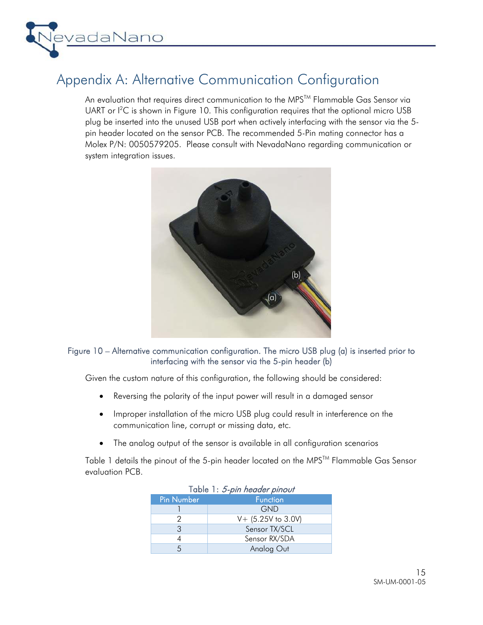

### Appendix A: Alternative Communication Configuration

An evaluation that requires direct communication to the MPS<sup>™</sup> Flammable Gas Sensor via UART or I<sup>2</sup>C is shown in Figure 10. This configuration requires that the optional micro USB plug be inserted into the unused USB port when actively interfacing with the sensor via the 5 pin header located on the sensor PCB. The recommended 5-Pin mating connector has a Molex P/N: 0050579205. Please consult with NevadaNano regarding communication or system integration issues.



#### Figure 10 – Alternative communication configuration. The micro USB plug (a) is inserted prior to interfacing with the sensor via the 5-pin header (b)

Given the custom nature of this configuration, the following should be considered:

- Reversing the polarity of the input power will result in a damaged sensor
- Improper installation of the micro USB plug could result in interference on the communication line, corrupt or missing data, etc.
- The analog output of the sensor is available in all configuration scenarios

Table 1 details the pinout of the 5-pin header located on the MPS™ Flammable Gas Sensor evaluation PCB.

| Table 1: 5-pin header pinout |                      |  |  |  |  |
|------------------------------|----------------------|--|--|--|--|
| <b>Pin Number</b>            | <b>Function</b>      |  |  |  |  |
|                              | GND                  |  |  |  |  |
|                              | $V+$ (5.25V to 3.0V) |  |  |  |  |
| 3                            | Sensor TX/SCL        |  |  |  |  |
|                              | Sensor RX/SDA        |  |  |  |  |
|                              | Analog Out           |  |  |  |  |